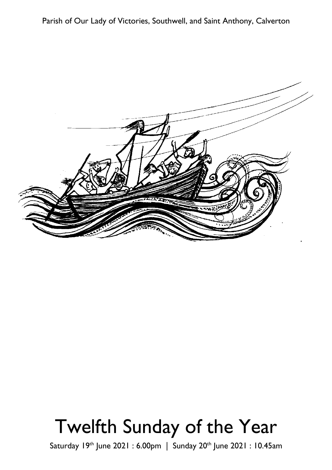



# Twelfth Sunday of the Year

Saturday 19<sup>th</sup> June 2021: 6.00pm | Sunday 20<sup>th</sup> June 2021: 10.45am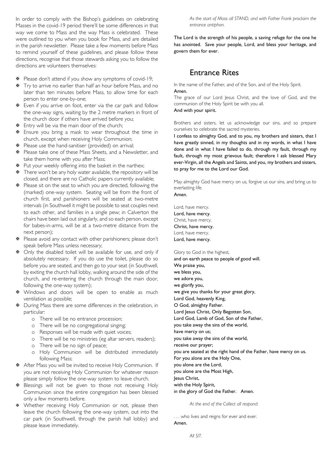In order to comply with the Bishop's guidelines on celebrating Masses in the covid-19 period there'll be some differences in that way we come to Mass and the way Mass is celebrated. These were outlined to you when you book for Mass, and are detailed in the parish newsletter. Please take a few moments before Mass to remind yourself of these guidelines, and please follow these directions, recognise that those stewards asking you to follow the directions are volunteers themselves:

- X Please don't attend if you show any symptoms of covid-19;
- **X** Try to arrive no earlier than half an hour before Mass, and no later than ten minutes before Mass, to allow time for each person to enter one-by-one;
- **X** Even if you arrive on foot, enter via the car park and follow the one-way signs, waiting by the 2 metre markers in front of the church door if others have arrived before you;
- **E** Entry will be via the main door of the church;
- X Ensure you bring a mask to wear throughout the time in church, except when receiving Holy Communion;
- $\cdot$  Please use the hand-sanitiser (provided) on arrival:
- X Please take one of these Mass Sheets, and a Newsletter, and take them home with you after Mass;
- $\mathbf{\Psi}$  Put your weekly offering into the basket in the narthex;
- **X** There won't be any holy water available, the repository will be closed, and there are no Catholic papers currently available;
- **X** Please sit on the seat to which you are directed, following the (marked) one-way system. Seating will be from the front of church first, and parishioners will be seated at two-metre intervals (in Southwell it might be possible to seat couples next to each other, and families in a single pew; in Calverton the chairs have been laid out singularly, and so each person, except for babes-in-arms, will be at a two-metre distance from the next person);
- X Please avoid any contact with other parishioners; please don't speak before Mass unless necessary;
- $\mathbf{\Psi}$  Only the disabled toilet will be available for use, and only if absolutely necessary. If you do use the toilet, please do so before you are seated, and then go to your seat (in Southwell, by exiting the church hall lobby, walking around the side of the church, and re-entering the church through the main door, following the one-way system);
- X Windows and doors will be open to enable as much ventilation as possible;
- X During Mass there are some differences in the celebration, in particular:
	- o There will be no entrance procession;
	- o There will be no congregational singing;
	- o Responses will be made with quiet voices;
	- o There will be no ministries (eg altar servers, readers);
	- o There will be no sign of peace;
	- o Holy Communion will be distributed immediately following Mass;
- **X** After Mass you will be invited to receive Holy Communion. If you are not receiving Holy Communion for whatever reason please simply follow the one-way system to leave church.
- X Blessings will not be given to those not receiving Holy Communion since the entire congregation has been blessed only a few moments before.
- X Whether receiving Holy Communion or not, please then leave the church following the one-way system, out into the car park (in Southwell, through the parish hall lobby) and please leave immediately.

*As the start of Mass all STAND, and with Father Frank proclaim the entrance antiphon.*

The Lord is the strength of his people, a saving refuge for the one he has anointed. Save your people, Lord, and bless your heritage, and govern them for ever.

## **Entrance Rites**

In the name of the Father, and of the Son, and of the Holy Spirit. Amen.

The grace of our Lord Jesus Christ, and the love of God, and the communion of the Holy Spirit be with you all.

And with your spirit.

Brothers and sisters, let us acknowledge our sins, and so prepare ourselves to celebrate the sacred mysteries.

I confess to almighty God, and to you, my brothers and sisters, that I have greatly sinned, in my thoughts and in my words, in what I have done and in what I have failed to do, through my fault, through my fault, through my most grievous fault; therefore I ask blessed Mary ever-Virgin, all the Angels and Saints, and you, my brothers and sisters, to pray for me to the Lord our God.

May almighty God have mercy on us, forgive us our sins, and bring us to everlasting life.

Amen.

Lord, have mercy. Lord, have mercy. Christ, have mercy. Christ, have mercy. Lord, have mercy. Lord, have mercy.

Glory to God in the highest,

and on earth peace to people of good will. We praise you, we bless you, we adore you, we glorify you, we give you thanks for your great glory, Lord God, heavenly King, O God, almighty Father. Lord Jesus Christ, Only Begotten Son, Lord God, Lamb of God, Son of the Father, you take away the sins of the world, have mercy on us; you take away the sins of the world, receive our prayer; you are seated at the right hand of the Father, have mercy on us. For you alone are the Holy One, you alone are the Lord, you alone are the Most High, Iesus Christ. with the Holy Spirit, in the glory of God the Father. Amen.

*At the end of the Collect all respond:*

. . . who lives and reigns for ever and ever. Amen.

*All SIT.*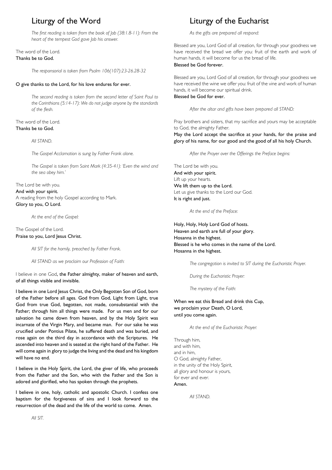# Liturgy of the Word

*The first reading is taken from the book of Job (38:1.8-11): From the heart of the tempest God gave Job his answer.*

#### The word of the Lord. Thanks be to God.

*The responsorial is taken from Psalm 106(107):23-26.28-32*

#### O give thanks to the Lord, for his love endures for ever.

*The second reading is taken from the second letter of Saint Paul to the Corinthians (5:14-17): We do not judge anyone by the standards of the flesh.*

#### The word of the Lord. Thanks be to God.

#### *All STAND.*

*The Gospel Acclamation is sung by Father Frank alone.*

*The Gospel is taken from Saint Mark (4:35-41): 'Even the wind and the sea obey him.'*

The Lord be with you. And with your spirit. A reading from the holy Gospel according to Mark. Glory to you, O Lord.

*At the end of the Gospel:*

The Gospel of the Lord. Praise to you, Lord Jesus Christ.

*All SIT for the homily, preached by Father Frank.*

*All STAND as we proclaim our Profession of Faith:*

I believe in one God, the Father almighty, maker of heaven and earth, of all things visible and invisible.

I believe in one Lord Jesus Christ, the Only Begotten Son of God, born of the Father before all ages. God from God, Light from Light, true God from true God, begotten, not made, consubstantial with the Father; through him all things were made. For us men and for our salvation he came down from heaven, and by the Holy Spirit was incarnate of the Virgin Mary, and became man. For our sake he was crucified under Pontius Pilate, he suffered death and was buried, and rose again on the third day in accordance with the Scriptures. He ascended into heaven and is seated at the right hand of the Father. He will come again in glory to judge the living and the dead and his kingdom will have no end.

I believe in the Holy Spirit, the Lord, the giver of life, who proceeds from the Father and the Son, who with the Father and the Son is adored and glorified, who has spoken through the prophets.

I believe in one, holy, catholic and apostolic Church. I confess one baptism for the forgiveness of sins and I look forward to the resurrection of the dead and the life of the world to come. Amen.

# Liturgy of the Eucharist

*As the gifts are prepared all respond:*

Blessed are you, Lord God of all creation, for through your goodness we have received the bread we offer you: fruit of the earth and work of human hands, it will become for us the bread of life. Blessed be God forever.

Blessed are you, Lord God of all creation, for through your goodness we have received the wine we offer you: fruit of the vine and work of human hands, it will become our spiritual drink.

### Blessed be God for ever.

*After the altar and gifts have been prepared all STAND:*

Pray brothers and sisters, that my sacrifice and yours may be acceptable to God, the almighty Father.

May the Lord accept the sacrifice at your hands, for the praise and glory of his name, for our good and the good of all his holy Church.

*After the Prayer over the Offerings the Preface begins:*

The Lord be with you. And with your spirit. Lift up your hearts. We lift them up to the Lord. Let us give thanks to the Lord our God. It is right and just.

*At the end of the Preface:*

Holy, Holy, Holy Lord God of hosts. Heaven and earth are full of your glory. Hosanna in the highest. Blessed is he who comes in the name of the Lord. Hosanna in the highest.

*The congregation is invited to SIT during the Eucharistic Prayer.*

*During the Eucharistic Prayer:*

*The mystery of the Faith:*

When we eat this Bread and drink this Cup, we proclaim your Death, O Lord, until you come again.

*At the end of the Eucharistic Prayer:*

Through him, and with him, and in him, O God, almighty Father, in the unity of the Holy Spirit, all glory and honour is yours, for ever and ever. Amen.

*All STAND.*